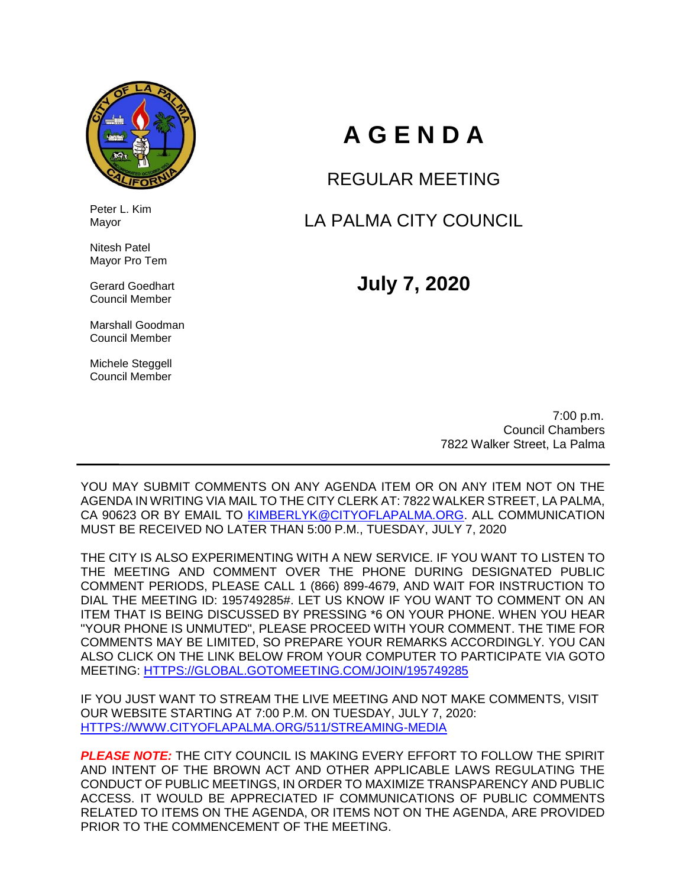

 Peter L. Kim Mayor

 Nitesh Patel Mayor Pro Tem

 Gerard Goedhart Council Member

 Marshall Goodman Council Member

 Michele Steggell Council Member

# **A G E N D A**

REGULAR MEETING

LA PALMA CITY COUNCIL

**July 7, 2020**

 7:00 p.m. Council Chambers 7822 Walker Street, La Palma

YOU MAY SUBMIT COMMENTS ON ANY AGENDA ITEM OR ON ANY ITEM NOT ON THE AGENDA IN WRITING VIA MAIL TO THE CITY CLERK AT: 7822 WALKER STREET, LA PALMA, CA 90623 OR BY EMAIL TO [KIMBERLYK@CITYOFLAPALMA.ORG.](mailto:KIMBERLYK@CITYOFLAPALMA.ORG) ALL COMMUNICATION MUST BE RECEIVED NO LATER THAN 5:00 P.M., TUESDAY, JULY 7, 2020

THE CITY IS ALSO EXPERIMENTING WITH A NEW SERVICE. IF YOU WANT TO LISTEN TO THE MEETING AND COMMENT OVER THE PHONE DURING DESIGNATED PUBLIC COMMENT PERIODS, PLEASE CALL 1 (866) 899-4679, AND WAIT FOR INSTRUCTION TO DIAL THE MEETING ID: 195749285#. LET US KNOW IF YOU WANT TO COMMENT ON AN ITEM THAT IS BEING DISCUSSED BY PRESSING \*6 ON YOUR PHONE. WHEN YOU HEAR "YOUR PHONE IS UNMUTED", PLEASE PROCEED WITH YOUR COMMENT. THE TIME FOR COMMENTS MAY BE LIMITED, SO PREPARE YOUR REMARKS ACCORDINGLY. YOU CAN ALSO CLICK ON THE LINK BELOW FROM YOUR COMPUTER TO PARTICIPATE VIA GOTO MEETING: [HTTPS://GLOBAL.GOTOMEETING.COM/JOIN/195749285](https://global.gotomeeting.com/join/195749285)

IF YOU JUST WANT TO STREAM THE LIVE MEETING AND NOT MAKE COMMENTS, VISIT OUR WEBSITE STARTING AT 7:00 P.M. ON TUESDAY, JULY 7, 2020: [HTTPS://WWW.CITYOFLAPALMA.ORG/511/STREAMING-MEDIA](https://www.cityoflapalma.org/511/Streaming-Media)

*PLEASE NOTE:* THE CITY COUNCIL IS MAKING EVERY EFFORT TO FOLLOW THE SPIRIT AND INTENT OF THE BROWN ACT AND OTHER APPLICABLE LAWS REGULATING THE CONDUCT OF PUBLIC MEETINGS, IN ORDER TO MAXIMIZE TRANSPARENCY AND PUBLIC ACCESS. IT WOULD BE APPRECIATED IF COMMUNICATIONS OF PUBLIC COMMENTS RELATED TO ITEMS ON THE AGENDA, OR ITEMS NOT ON THE AGENDA, ARE PROVIDED PRIOR TO THE COMMENCEMENT OF THE MEETING.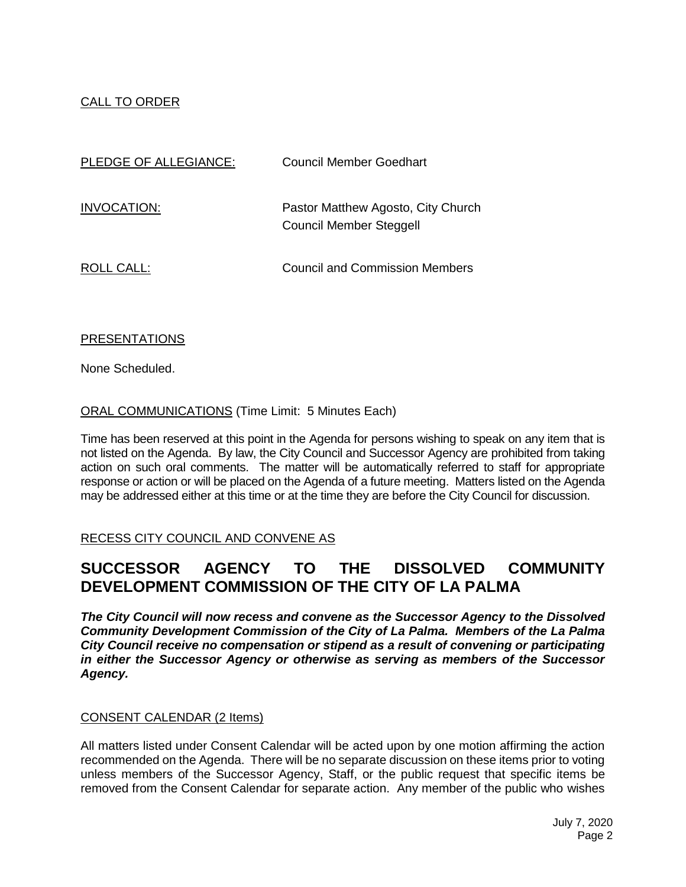# CALL TO ORDER

| PLEDGE OF ALLEGIANCE: | Council Member Goedhart                                              |
|-----------------------|----------------------------------------------------------------------|
| INVOCATION:           | Pastor Matthew Agosto, City Church<br><b>Council Member Steggell</b> |
| ROLL CALL:            | <b>Council and Commission Members</b>                                |

# PRESENTATIONS

None Scheduled.

ORAL COMMUNICATIONS (Time Limit: 5 Minutes Each)

Time has been reserved at this point in the Agenda for persons wishing to speak on any item that is not listed on the Agenda. By law, the City Council and Successor Agency are prohibited from taking action on such oral comments. The matter will be automatically referred to staff for appropriate response or action or will be placed on the Agenda of a future meeting. Matters listed on the Agenda may be addressed either at this time or at the time they are before the City Council for discussion.

# RECESS CITY COUNCIL AND CONVENE AS

# **SUCCESSOR AGENCY TO THE DISSOLVED COMMUNITY DEVELOPMENT COMMISSION OF THE CITY OF LA PALMA**

*The City Council will now recess and convene as the Successor Agency to the Dissolved Community Development Commission of the City of La Palma. Members of the La Palma City Council receive no compensation or stipend as a result of convening or participating in either the Successor Agency or otherwise as serving as members of the Successor Agency.*

# CONSENT CALENDAR (2 Items)

All matters listed under Consent Calendar will be acted upon by one motion affirming the action recommended on the Agenda. There will be no separate discussion on these items prior to voting unless members of the Successor Agency, Staff, or the public request that specific items be removed from the Consent Calendar for separate action. Any member of the public who wishes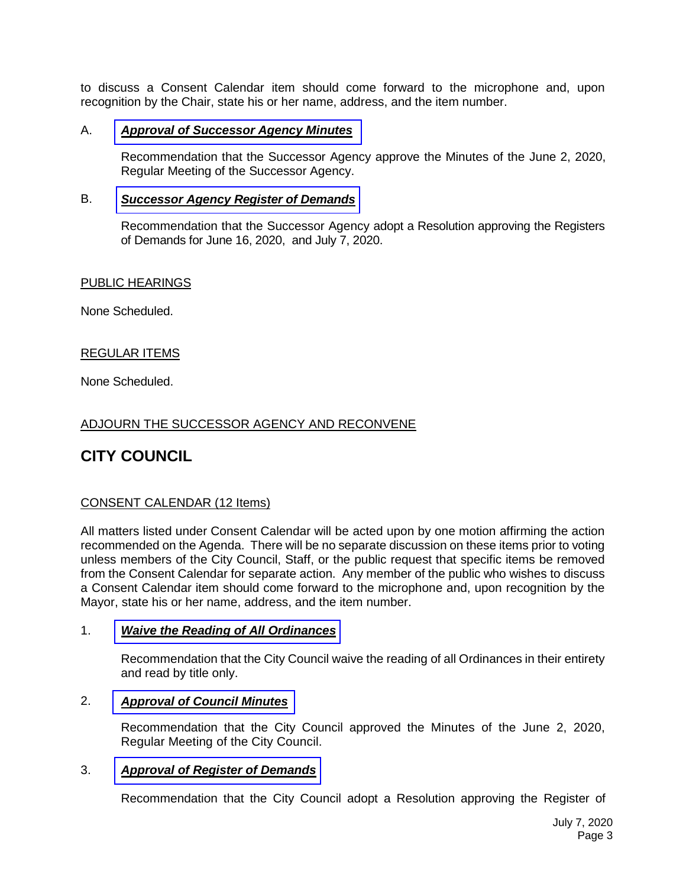to discuss a Consent Calendar item should come forward to the microphone and, upon recognition by the Chair, state his or her name, address, and the item number.

#### A. *Approval of [Successor](https://www.cityoflapalma.org/DocumentCenter/View/10293/Item-A_SA-Minutes-060220) Agency Minutes*

Recommendation that the Successor Agency approve the Minutes of the June 2, 2020, Regular Meeting of the Successor Agency.

#### B. *Successor Agency [Register of Demands](https://www.cityoflapalma.org/DocumentCenter/View/10294/Item-B_SA-Warrants-WEB)*

Recommendation that the Successor Agency adopt a Resolution approving the Registers of Demands for June 16, 2020, and July 7, 2020.

#### PUBLIC HEARINGS

None Scheduled.

# REGULAR ITEMS

None Scheduled.

# ADJOURN THE SUCCESSOR AGENCY AND RECONVENE

# **CITY COUNCIL**

# CONSENT CALENDAR (12 Items)

All matters listed under Consent Calendar will be acted upon by one motion affirming the action recommended on the Agenda. There will be no separate discussion on these items prior to voting unless members of the City Council, Staff, or the public request that specific items be removed from the Consent Calendar for separate action. Any member of the public who wishes to discuss a Consent Calendar item should come forward to the microphone and, upon recognition by the Mayor, state his or her name, address, and the item number.

#### 1. *[Waive the Reading of All Ordinances](https://www.cityoflapalma.org/DocumentCenter/View/10295/Item-1_Waive-Reading-of-Ordinances)*

Recommendation that the City Council waive the reading of all Ordinances in their entirety and read by title only.

#### 2. *[Approval of Council Minutes](https://www.cityoflapalma.org/DocumentCenter/View/10296/Item-2_City-Council-Minutes)*

Recommendation that the City Council approved the Minutes of the June 2, 2020, Regular Meeting of the City Council.

#### 3. *[Approval of Register of Demands](https://www.cityoflapalma.org/DocumentCenter/View/10297/Item-3_CC-Warrants-WEB)*

Recommendation that the City Council adopt a Resolution approving the Register of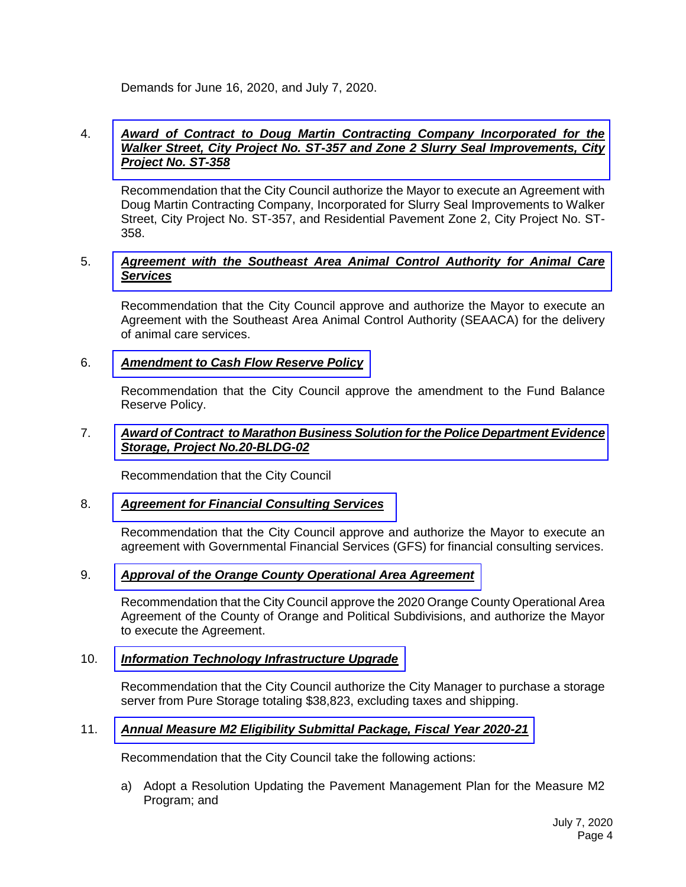Demands for June 16, 2020, and July 7, 2020.

#### 4. *Award of Contract to Doug Martin Contracting Company Incorporated for the [Walker Street, City Project No. ST-357 and Zone 2 Slurry Seal Improvements, City](https://www.cityoflapalma.org/DocumentCenter/View/10298/Item-4_ST-357-Walker-Slurry-Seal-and-ST-358-Pavement-Zone-2-AOC)  Project No. ST-358*

Recommendation that the City Council authorize the Mayor to execute an Agreement with Doug Martin Contracting Company, Incorporated for Slurry Seal Improvements to Walker Street, City Project No. ST-357, and Residential Pavement Zone 2, City Project No. ST-358.

# 5. *[Agreement with the Southeast Area Animal Control Authority for Animal Care](https://www.cityoflapalma.org/DocumentCenter/View/10299/Item-5_FY-2020-21-SEAACA-Agreement-7-7-20)  Services*

Recommendation that the City Council approve and authorize the Mayor to execute an Agreement with the Southeast Area Animal Control Authority (SEAACA) for the delivery of animal care services.

# 6. *[Amendment to Cash Flow Reserve Policy](https://www.cityoflapalma.org/DocumentCenter/View/10285/Item-6_Cash-Reserve-Policies-July-2020)*

Recommendation that the City Council approve the amendment to the Fund Balance Reserve Policy.

#### 7. *[Award of Contract to Marathon Business Solution for the Police Department Evidence](https://www.cityoflapalma.org/DocumentCenter/View/10286/Item-7_AOC-Evidence-Storage-Project)  Storage, Project No.20-BLDG-02*

Recommendation that the City Council

# 8. *[Agreement for Financial Consulting Services](https://www.cityoflapalma.org/DocumentCenter/View/10287/Item-8_Contract-GFS-July-2020)*

Recommendation that the City Council approve and authorize the Mayor to execute an agreement with Governmental Financial Services (GFS) for financial consulting services.

# 9. *[Approval of the Orange County Operational Area Agreement](https://www.cityoflapalma.org/DocumentCenter/View/10288/Item-9_OA-Agreement)*

Recommendation that the City Council approve the 2020 Orange County Operational Area Agreement of the County of Orange and Political Subdivisions, and authorize the Mayor to execute the Agreement.

# 10. *[Information Technology Infrastructure Upgrade](https://www.cityoflapalma.org/DocumentCenter/View/10289/Item-10_Information-Technology-Infrastructure-Upgrade)*

Recommendation that the City Council authorize the City Manager to purchase a storage server from Pure Storage totaling \$38,823, excluding taxes and shipping.

# 11. *Annual [Measure M2 Eligibility Submittal Package, Fiscal Year 2020-21](https://www.cityoflapalma.org/DocumentCenter/View/10290/Item-11_Measure-M2-Eligibility-Package)*

Recommendation that the City Council take the following actions:

a) Adopt a Resolution Updating the Pavement Management Plan for the Measure M2 Program; and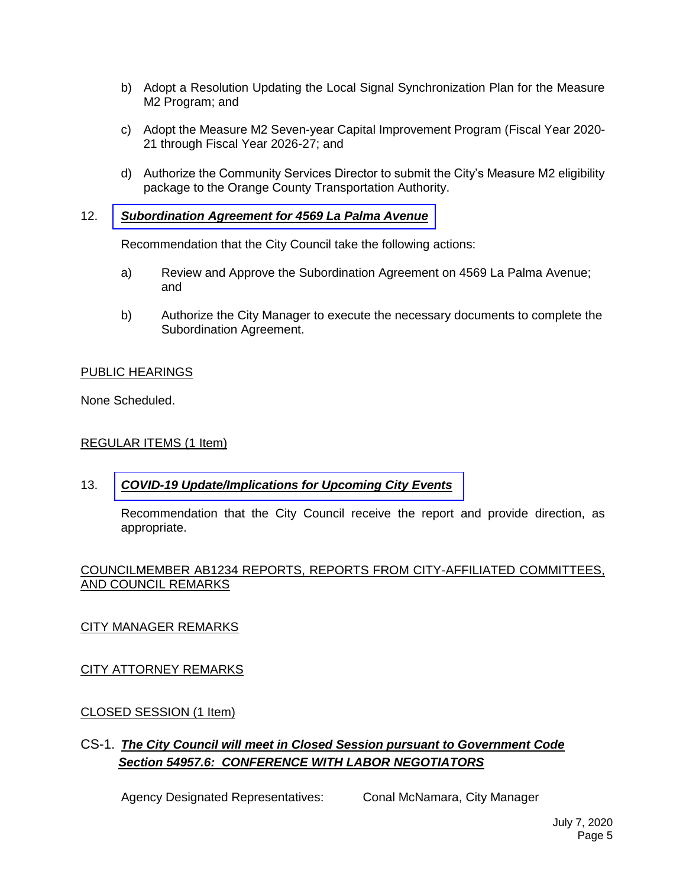- b) Adopt a Resolution Updating the Local Signal Synchronization Plan for the Measure M2 Program; and
- c) Adopt the Measure M2 Seven-year Capital Improvement Program (Fiscal Year 2020- 21 through Fiscal Year 2026-27; and
- d) Authorize the Community Services Director to submit the City's Measure M2 eligibility package to the Orange County Transportation Authority.

#### 12. *[Subordination Agreement for 4569 La Palma Avenue](https://www.cityoflapalma.org/DocumentCenter/View/10291/Item-12_Subordination-4569-La-Palma-Avenue)*

Recommendation that the City Council take the following actions:

- a) Review and Approve the Subordination Agreement on 4569 La Palma Avenue; and
- b) Authorize the City Manager to execute the necessary documents to complete the Subordination Agreement.

#### PUBLIC HEARINGS

None Scheduled.

#### REGULAR ITEMS (1 Item)

# 13. *[COVID-19 Update/Implications for Upcoming City Events](https://www.cityoflapalma.org/DocumentCenter/View/10292/Item-13_COVID-19-Update-7-7-20)*

Recommendation that the City Council receive the report and provide direction, as appropriate.

#### COUNCILMEMBER AB1234 REPORTS, REPORTS FROM CITY-AFFILIATED COMMITTEES, AND COUNCIL REMARKS

# CITY MANAGER REMARKS

# CITY ATTORNEY REMARKS

# CLOSED SESSION (1 Item)

# CS-1. *The City Council will meet in Closed Session pursuant to Government Code Section 54957.6: CONFERENCE WITH LABOR NEGOTIATORS*

Agency Designated Representatives: Conal McNamara, City Manager